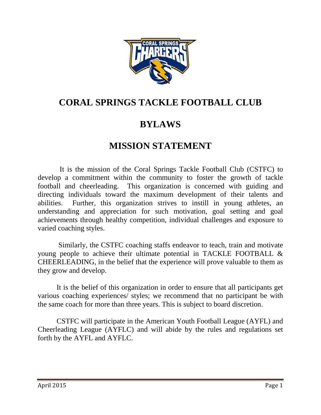

## **CORAL SPRINGS TACKLE FOOTBALL CLUB**

# **BYLAWS**

## **MISSION STATEMENT**

 It is the mission of the Coral Springs Tackle Football Club (CSTFC) to develop a commitment within the community to foster the growth of tackle football and cheerleading. This organization is concerned with guiding and directing individuals toward the maximum development of their talents and abilities. Further, this organization strives to instill in young athletes, an understanding and appreciation for such motivation, goal setting and goal achievements through healthy competition, individual challenges and exposure to varied coaching styles.

 Similarly, the CSTFC coaching staffs endeavor to teach, train and motivate young people to achieve their ultimate potential in TACKLE FOOTBALL & CHEERLEADING, in the belief that the experience will prove valuable to them as they grow and develop.

It is the belief of this organization in order to ensure that all participants get various coaching experiences/ styles; we recommend that no participant be with the same coach for more than three years. This is subject to board discretion.

 CSTFC will participate in the American Youth Football League (AYFL) and Cheerleading League (AYFLC) and will abide by the rules and regulations set forth by the AYFL and AYFLC.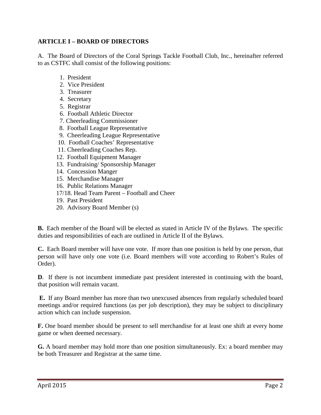#### **ARTICLE I – BOARD OF DIRECTORS**

A. The Board of Directors of the Coral Springs Tackle Football Club, Inc., hereinafter referred to as CSTFC shall consist of the following positions:

- 1. President
- 2. Vice President
- 3. Treasurer
- 4. Secretary
- 5. Registrar
- 6. Football Athletic Director
- 7. Cheerleading Commissioner
- 8. Football League Representative
- 9. Cheerleading League Representative
- 10. Football Coaches' Representative
- 11. Cheerleading Coaches Rep.
- 12. Football Equipment Manager
- 13. Fundraising/ Sponsorship Manager
- 14. Concession Manger
- 15. Merchandise Manager
- 16. Public Relations Manager
- 17/18. Head Team Parent Football and Cheer
- 19. Past President
- 20. Advisory Board Member (s)

**B.** Each member of the Board will be elected as stated in Article IV of the Bylaws. The specific duties and responsibilities of each are outlined in Article II of the Bylaws.

**C.**Each Board member will have one vote. If more than one position is held by one person, that person will have only one vote (i.e. Board members will vote according to Robert's Rules of Order).

**D**. If there is not incumbent immediate past president interested in continuing with the board, that position will remain vacant.

 **E.** If any Board member has more than two unexcused absences from regularly scheduled board meetings and/or required functions (as per job description), they may be subject to disciplinary action which can include suspension.

**F.** One board member should be present to sell merchandise for at least one shift at every home game or when deemed necessary.

**G.** A board member may hold more than one position simultaneously. Ex: a board member may be both Treasurer and Registrar at the same time.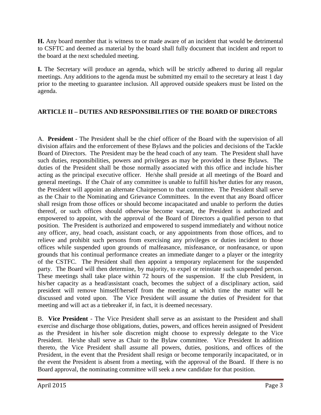**H.** Any board member that is witness to or made aware of an incident that would be detrimental to CSFTC and deemed as material by the board shall fully document that incident and report to the board at the next scheduled meeting.

**I.** The Secretary will produce an agenda, which will be strictly adhered to during all regular meetings. Any additions to the agenda must be submitted my email to the secretary at least 1 day prior to the meeting to guarantee inclusion. All approved outside speakers must be listed on the agenda.

### **ARTICLE II – DUTIES AND RESPONSIBILITIES OF THE BOARD OF DIRECTORS**

A. **President** - The President shall be the chief officer of the Board with the supervision of all division affairs and the enforcement of these Bylaws and the policies and decisions of the Tackle Board of Directors. The President may be the head coach of any team. The President shall have such duties, responsibilities, powers and privileges as may be provided in these Bylaws. The duties of the President shall be those normally associated with this office and include his/her acting as the principal executive officer. He/she shall preside at all meetings of the Board and general meetings. If the Chair of any committee is unable to fulfill his/her duties for any reason, the President will appoint an alternate Chairperson to that committee. The President shall serve as the Chair to the Nominating and Grievance Committees. In the event that any Board officer shall resign from those offices or should become incapacitated and unable to perform the duties thereof, or such offices should otherwise become vacant, the President is authorized and empowered to appoint, with the approval of the Board of Directors a qualified person to that position. The President is authorized and empowered to suspend immediately and without notice any officer, any, head coach, assistant coach, or any appointments from those offices, and to relieve and prohibit such persons from exercising any privileges or duties incident to those offices while suspended upon grounds of malfeasance, misfeasance, or nonfeasance, or upon grounds that his continual performance creates an immediate danger to a player or the integrity of the CSTFC. The President shall then appoint a temporary replacement for the suspended party. The Board will then determine, by majority, to expel or reinstate such suspended person. These meetings shall take place within 72 hours of the suspension. If the club President, in his/her capacity as a head/assistant coach, becomes the subject of a disciplinary action, said president will remove himself/herself from the meeting at which time the matter will be discussed and voted upon. The Vice President will assume the duties of President for that meeting and will act as a tiebreaker if, in fact, it is deemed necessary.

B. **Vice President** - The Vice President shall serve as an assistant to the President and shall exercise and discharge those obligations, duties, powers, and offices herein assigned of President as the President in his/her sole discretion might choose to expressly delegate to the Vice President. He/she shall serve as Chair to the Bylaw committee. Vice President In addition thereto, the Vice President shall assume all powers, duties, positions, and offices of the President, in the event that the President shall resign or become temporarily incapacitated, or in the event the President is absent from a meeting, with the approval of the Board. If there is no Board approval, the nominating committee will seek a new candidate for that position.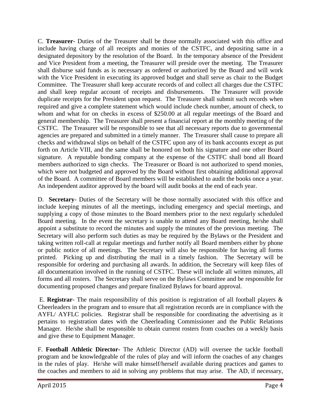C. **Treasurer**- Duties of the Treasurer shall be those normally associated with this office and include having charge of all receipts and monies of the CSTFC, and depositing same in a designated depository by the resolution of the Board. In the temporary absence of the President and Vice President from a meeting, the Treasurer will preside over the meeting. The Treasurer shall disburse said funds as is necessary as ordered or authorized by the Board and will work with the Vice President in executing its approved budget and shall serve as chair to the Budget Committee. The Treasurer shall keep accurate records of and collect all charges due the CSTFC and shall keep regular account of receipts and disbursements. The Treasurer will provide duplicate receipts for the President upon request. The Treasurer shall submit such records when required and give a complete statement which would include check number, amount of check, to whom and what for on checks in excess of \$250.00 at all regular meetings of the Board and general membership. The Treasurer shall present a financial report at the monthly meeting of the CSTFC. The Treasurer will be responsible to see that all necessary reports due to governmental agencies are prepared and submitted in a timely manner. The Treasurer shall cause to prepare all checks and withdrawal slips on behalf of the CSTFC upon any of its bank accounts except as put forth on Article VIII, and the same shall be honored on both his signature and one other Board signature. A reputable bonding company at the expense of the CSTFC shall bond all Board members authorized to sign checks. The Treasurer or Board is not authorized to spend monies, which were not budgeted and approved by the Board without first obtaining additional approval of the Board. A committee of Board members will be established to audit the books once a year. An independent auditor approved by the board will audit books at the end of each year.

D. **Secretary**- Duties of the Secretary will be those normally associated with this office and include keeping minutes of all the meetings, including emergency and special meetings, and supplying a copy of those minutes to the Board members prior to the next regularly scheduled Board meeting. In the event the secretary is unable to attend any Board meeting, he/she shall appoint a substitute to record the minutes and supply the minutes of the previous meeting. The Secretary will also perform such duties as may be required by the Bylaws or the President and taking written roll-call at regular meetings and further notify all Board members either by phone or public notice of all meetings. The Secretary will also be responsible for having all forms printed. Picking up and distributing the mail in a timely fashion. The Secretary will be responsible for ordering and purchasing all awards. In addition, the Secretary will keep files of all documentation involved in the running of CSTFC. These will include all written minutes, all forms and all rosters. The Secretary shall serve on the Bylaws Committee and be responsible for documenting proposed changes and prepare finalized Bylaws for board approval.

 E. **Registrar**- The main responsibility of this position is registration of all football players & Cheerleaders in the program and to ensure that all registration records are in compliance with the AYFL/ AYFLC policies. Registrar shall be responsible for coordinating the advertising as it pertains to registration dates with the Cheerleading Commissioner and the Public Relations Manager. He/she shall be responsible to obtain current rosters from coaches on a weekly basis and give these to Equipment Manager.

F. **Football Athletic Director-** The Athletic Director (AD) will oversee the tackle football program and be knowledgeable of the rules of play and will inform the coaches of any changes in the rules of play. He/she will make himself/herself available during practices and games to the coaches and members to aid in solving any problems that may arise. The AD, if necessary,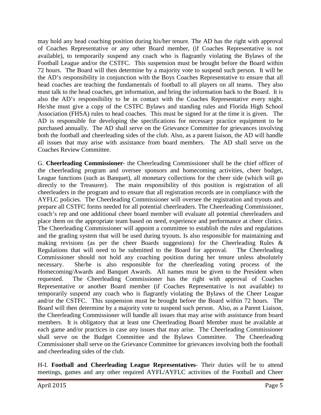may hold any head coaching position during his/her tenure. The AD has the right with approval of Coaches Representative or any other Board member, (if Coaches Representative is not available), to temporarily suspend any coach who is flagrantly violating the Bylaws of the Football League and/or the CSTFC. This suspension must be brought before the Board within 72 hours. The Board will then determine by a majority vote to suspend such person. It will be the AD's responsibility in conjunction with the Boys Coaches Representative to ensure that all head coaches are teaching the fundamentals of football to all players on all teams. They also must talk to the head coaches, get information, and bring the information back to the Board. It is also the AD's responsibility to be in contact with the Coaches Representative every night. He/she must give a copy of the CSTFC Bylaws and standing rules and Florida High School Association (FHSA) rules to head coaches. This must be signed for at the time it is given. The AD is responsible for developing the specifications for necessary practice equipment to be purchased annually. The AD shall serve on the Grievance Committee for grievances involving both the football and cheerleading sides of the club. Also, as a parent liaison, the AD will handle all issues that may arise with assistance from board members. The AD shall serve on the Coaches Review Committee.

G. **Cheerleading Commissioner**- the Cheerleading Commissioner shall be the chief officer of the cheerleading program and oversee sponsors and homecoming activities, cheer budget, League functions (such as Banquet), all monetary collections for the cheer side (which will go directly to the Treasurer). The main responsibility of this position is registration of all cheerleaders in the program and to ensure that all registration records are in compliance with the AYFLC policies. The Cheerleading Commissioner will oversee the registration and tryouts and prepare all CSTFC forms needed for all potential cheerleaders. The Cheerleading Commissioner, coach's rep and one additional cheer board member will evaluate all potential cheerleaders and place them on the appropriate team based on need, experience and performance at cheer clinics. The Cheerleading Commissioner will appoint a committee to establish the rules and regulations and the grading system that will be used during tryouts. Is also responsible for maintaining and making revisions (as per the cheer Boards suggestions) for the Cheerleading Rules & Regulations that will need to be submitted to the Board for approval. The Cheerleading Commissioner should not hold any coaching position during her tenure unless absolutely necessary. She/he is also responsible for the cheerleading voting process of the Homecoming/Awards and Banquet Awards. All names must be given to the President when requested. The Cheerleading Commissioner has the right with approval of Coaches Representative or another Board member (if Coaches Representative is not available) to temporarily suspend any coach who is flagrantly violating the Bylaws of the Cheer League and/or the CSTFC. This suspension must be brought before the Board within 72 hours. The Board will then determine by a majority vote to suspend such person. Also, as a Parent Liaison, the Cheerleading Commissioner will handle all issues that may arise with assistance from board members. It is obligatory that at least one Cheerleading Board Member must be available at each game and/or practices in case any issues that may arise. The Cheerleading Commissioner shall serve on the Budget Committee and the Bylaws Committee. The Cheerleading Commissioner shall serve on the Grievance Committee for grievances involving both the football and cheerleading sides of the club.

H-I. **Football and Cheerleading League Representatives**- Their duties will be to attend meetings, games and any other required AYFL/AYFLC activities of the Football and Cheer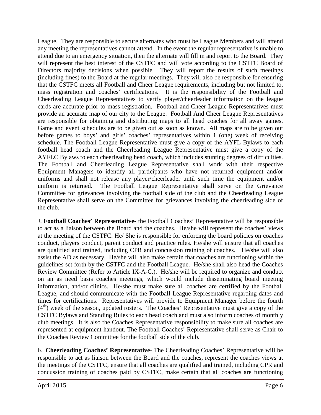League. They are responsible to secure alternates who must be League Members and will attend any meeting the representatives cannot attend. In the event the regular representative is unable to attend due to an emergency situation, then the alternate will fill in and report to the Board. They will represent the best interest of the CSTFC and will vote according to the CSTFC Board of Directors majority decisions when possible. They will report the results of such meetings (including fines) to the Board at the regular meetings. They will also be responsible for ensuring that the CSTFC meets all Football and Cheer League requirements, including but not limited to, mass registration and coaches' certifications. It is the responsibility of the Football and Cheerleading League Representatives to verify player/cheerleader information on the league cards are accurate prior to mass registration. Football and Cheer League Representatives must provide an accurate map of our city to the League. Football And Cheer League Representatives are responsible for obtaining and distributing maps to all head coaches for all away games. Game and event schedules are to be given out as soon as known. All maps are to be given out before games to boys' and girls' coaches' representatives within 1 (one) week of receiving schedule. The Football League Representative must give a copy of the AYFL Bylaws to each football head coach and the Cheerleading League Representative must give a copy of the AYFLC Bylaws to each cheerleading head coach, which includes stunting degrees of difficulties. The Football and Cheerleading League Representative shall work with their respective Equipment Managers to identify all participants who have not returned equipment and/or uniforms and shall not release any player/cheerleader until such time the equipment and/or uniform is returned. The Football League Representative shall serve on the Grievance Committee for grievances involving the football side of the club and the Cheerleading League Representative shall serve on the Committee for grievances involving the cheerleading side of the club.

J. **Football Coaches' Representative**- the Football Coaches' Representative will be responsible to act as a liaison between the Board and the coaches. He/she will represent the coaches' views at the meeting of the CSTFC. He/ She is responsible for enforcing the board policies on coaches conduct, players conduct, parent conduct and practice rules. He/she will ensure that all coaches are qualified and trained, including CPR and concussion training of coaches. He/she will also assist the AD as necessary. He/she will also make certain that coaches are functioning within the guidelines set forth by the CSTFC and the Football League. He/she shall also head the Coaches Review Committee (Refer to Article IX-A-C.). He/she will be required to organize and conduct on an as need basis coaches meetings, which would include disseminating board meeting information, and/or clinics. He/she must make sure all coaches are certified by the Football League, and should communicate with the Football League Representative regarding dates and times for certifications. Representatives will provide to Equipment Manager before the fourth  $(4<sup>th</sup>)$  week of the season, updated rosters. The Coaches' Representative must give a copy of the CSTFC Bylaws and Standing Rules to each head coach and must also inform coaches of monthly club meetings. It is also the Coaches Representative responsibility to make sure all coaches are represented at equipment handout. The Football Coaches' Representative shall serve as Chair to the Coaches Review Committee for the football side of the club.

K. **Cheerleading Coaches' Representative**- The Cheerleading Coaches' Representative will be responsible to act as liaison between the Board and the coaches, represent the coaches views at the meetings of the CSTFC, ensure that all coaches are qualified and trained, including CPR and concussion training of coaches paid by CSTFC, make certain that all coaches are functioning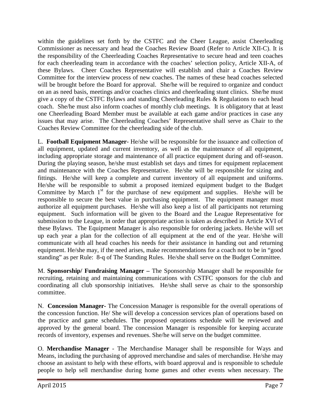within the guidelines set forth by the CSTFC and the Cheer League, assist Cheerleading Commissioner as necessary and head the Coaches Review Board (Refer to Article XII-C). It is the responsibility of the Cheerleading Coaches Representative to secure head and teen coaches for each cheerleading team in accordance with the coaches' selection policy, Article XII-A, of these Bylaws. Cheer Coaches Representative will establish and chair a Coaches Review Committee for the interview process of new coaches. The names of these head coaches selected will be brought before the Board for approval. She/he will be required to organize and conduct on an as need basis, meetings and/or coaches clinics and cheerleading stunt clinics. She/he must give a copy of the CSTFC Bylaws and standing Cheerleading Rules & Regulations to each head coach. She/he must also inform coaches of monthly club meetings. It is obligatory that at least one Cheerleading Board Member must be available at each game and/or practices in case any issues that may arise. The Cheerleading Coaches' Representative shall serve as Chair to the Coaches Review Committee for the cheerleading side of the club.

L. **Football Equipment Manager**- He/she will be responsible for the issuance and collection of all equipment, updated and current inventory, as well as the maintenance of all equipment, including appropriate storage and maintenance of all practice equipment during and off-season. During the playing season, he/she must establish set days and times for equipment replacement and maintenance with the Coaches Representative. He/she will be responsible for sizing and fittings. He/she will keep a complete and current inventory of all equipment and uniforms. He/she will be responsible to submit a proposed itemized equipment budget to the Budget Committee by March  $1<sup>st</sup>$  for the purchase of new equipment and supplies. He/she will be responsible to secure the best value in purchasing equipment. The equipment manager must authorize all equipment purchases. He/she will also keep a list of all participants not returning equipment. Such information will be given to the Board and the League Representative for submission to the League, in order that appropriate action is taken as described in Article XVI of these Bylaws. The Equipment Manager is also responsible for ordering jackets. He/she will set up each year a plan for the collection of all equipment at the end of the year. He/she will communicate with all head coaches his needs for their assistance in handing out and returning equipment. He/she may, if the need arises, make recommendations for a coach not to be in "good standing" as per Rule: 8-q of The Standing Rules. He/she shall serve on the Budget Committee.

M. **Sponsorship/ Fundraising Manager –** The Sponsorship Manager shall be responsible for recruiting, retaining and maintaining communications with CSTFC sponsors for the club and coordinating all club sponsorship initiatives. He/she shall serve as chair to the sponsorship committee.

N. **Concession Manager-** The Concession Manager is responsible for the overall operations of the concession function. He/ She will develop a concession services plan of operations based on the practice and game schedules. The proposed operations schedule will be reviewed and approved by the general board. The concession Manager is responsible for keeping accurate records of inventory, expenses and revenues. She/he will serve on the budget committee.

O. **Merchandise Manager** - The Merchandise Manager shall be responsible for Ways and Means, including the purchasing of approved merchandise and sales of merchandise. He/she may choose an assistant to help with these efforts, with board approval and is responsible to schedule people to help sell merchandise during home games and other events when necessary. The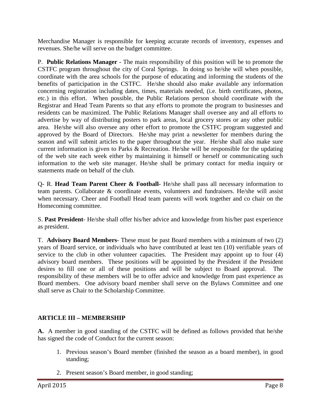Merchandise Manager is responsible for keeping accurate records of inventory, expenses and revenues. She/he will serve on the budget committee.

P. **Public Relations Manager** - The main responsibility of this position will be to promote the CSTFC program throughout the city of Coral Springs. In doing so he/she will when possible, coordinate with the area schools for the purpose of educating and informing the students of the benefits of participation in the CSTFC. He/she should also make available any information concerning registration including dates, times, materials needed, (i.e. birth certificates, photos, etc.) in this effort. When possible, the Public Relations person should coordinate with the Registrar and Head Team Parents so that any efforts to promote the program to businesses and residents can be maximized. The Public Relations Manager shall oversee any and all efforts to advertise by way of distributing posters to park areas, local grocery stores or any other public area. He/she will also oversee any other effort to promote the CSTFC program suggested and approved by the Board of Directors. He/she may print a newsletter for members during the season and will submit articles to the paper throughout the year. He/she shall also make sure current information is given to Parks & Recreation. He/she will be responsible for the updating of the web site each week either by maintaining it himself or herself or communicating such information to the web site manager. He/she shall be primary contact for media inquiry or statements made on behalf of the club.

Q- R. **Head Team Parent Cheer & Football-** He/she shall pass all necessary information to team parents. Collaborate & coordinate events, volunteers and fundraisers. He/she will assist when necessary. Cheer and Football Head team parents will work together and co chair on the Homecoming committee.

S. **Past President**- He/she shall offer his/her advice and knowledge from his/her past experience as president.

T. **Advisory Board Members**- These must be past Board members with a minimum of two (2) years of Board service, or individuals who have contributed at least ten (10) verifiable years of service to the club in other volunteer capacities. The President may appoint up to four (4) advisory board members. These positions will be appointed by the President if the President desires to fill one or all of these positions and will be subject to Board approval. The responsibility of these members will be to offer advice and knowledge from past experience as Board members. One advisory board member shall serve on the Bylaws Committee and one shall serve as Chair to the Scholarship Committee.

## **ARTICLE III – MEMBERSHIP**

**A.** A member in good standing of the CSTFC will be defined as follows provided that he/she has signed the code of Conduct for the current season:

- 1. Previous season's Board member (finished the season as a board member), in good standing;
- 2. Present season's Board member, in good standing;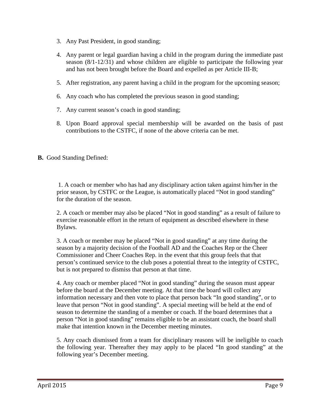- 3. Any Past President, in good standing;
- 4. Any parent or legal guardian having a child in the program during the immediate past season (8/1-12/31) and whose children are eligible to participate the following year and has not been brought before the Board and expelled as per Article III-B;
- 5. After registration, any parent having a child in the program for the upcoming season;
- 6. Any coach who has completed the previous season in good standing;
- 7. Any current season's coach in good standing;
- 8. Upon Board approval special membership will be awarded on the basis of past contributions to the CSTFC, if none of the above criteria can be met.
- **B.** Good Standing Defined:

 1. A coach or member who has had any disciplinary action taken against him/her in the prior season, by CSTFC or the League, is automatically placed "Not in good standing" for the duration of the season.

2. A coach or member may also be placed "Not in good standing" as a result of failure to exercise reasonable effort in the return of equipment as described elsewhere in these Bylaws.

3. A coach or member may be placed "Not in good standing" at any time during the season by a majority decision of the Football AD and the Coaches Rep or the Cheer Commissioner and Cheer Coaches Rep. in the event that this group feels that that person's continued service to the club poses a potential threat to the integrity of CSTFC, but is not prepared to dismiss that person at that time.

4. Any coach or member placed "Not in good standing" during the season must appear before the board at the December meeting. At that time the board will collect any information necessary and then vote to place that person back "In good standing", or to leave that person "Not in good standing". A special meeting will be held at the end of season to determine the standing of a member or coach. If the board determines that a person "Not in good standing" remains eligible to be an assistant coach, the board shall make that intention known in the December meeting minutes.

5. Any coach dismissed from a team for disciplinary reasons will be ineligible to coach the following year. Thereafter they may apply to be placed "In good standing" at the following year's December meeting.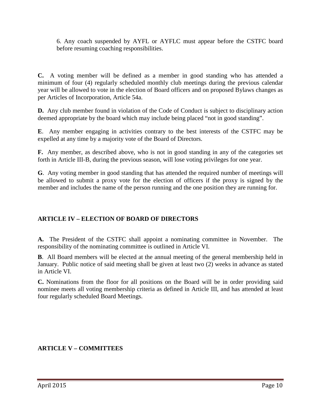6. Any coach suspended by AYFL or AYFLC must appear before the CSTFC board before resuming coaching responsibilities.

**C.** A voting member will be defined as a member in good standing who has attended a minimum of four (4) regularly scheduled monthly club meetings during the previous calendar year will be allowed to vote in the election of Board officers and on proposed Bylaws changes as per Articles of Incorporation, Article 54a.

**D.** Any club member found in violation of the Code of Conduct is subject to disciplinary action deemed appropriate by the board which may include being placed "not in good standing".

**E**. Any member engaging in activities contrary to the best interests of the CSTFC may be expelled at any time by a majority vote of the Board of Directors.

**F.** Any member, as described above, who is not in good standing in any of the categories set forth in Article III-B, during the previous season, will lose voting privileges for one year.

**G**. Any voting member in good standing that has attended the required number of meetings will be allowed to submit a proxy vote for the election of officers if the proxy is signed by the member and includes the name of the person running and the one position they are running for.

## **ARTICLE IV – ELECTION OF BOARD OF DIRECTORS**

**A.** The President of the CSTFC shall appoint a nominating committee in November. The responsibility of the nominating committee is outlined in Article VI.

**B**. All Board members will be elected at the annual meeting of the general membership held in January. Public notice of said meeting shall be given at least two (2) weeks in advance as stated in Article VI.

**C.** Nominations from the floor for all positions on the Board will be in order providing said nominee meets all voting membership criteria as defined in Article III, and has attended at least four regularly scheduled Board Meetings.

### **ARTICLE V – COMMITTEES**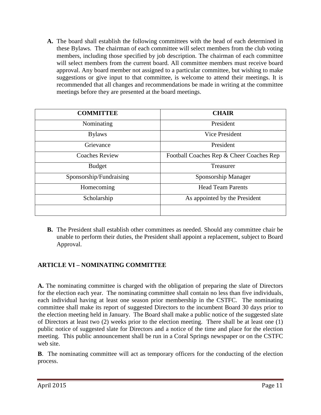**A.** The board shall establish the following committees with the head of each determined in these Bylaws. The chairman of each committee will select members from the club voting members, including those specified by job description. The chairman of each committee will select members from the current board. All committee members must receive board approval. Any board member not assigned to a particular committee, but wishing to make suggestions or give input to that committee, is welcome to attend their meetings. It is recommended that all changes and recommendations be made in writing at the committee meetings before they are presented at the board meetings.

| <b>COMMITTEE</b>        | <b>CHAIR</b>                             |
|-------------------------|------------------------------------------|
| Nominating              | President                                |
| <b>Bylaws</b>           | Vice President                           |
| Grievance               | President                                |
| <b>Coaches Review</b>   | Football Coaches Rep & Cheer Coaches Rep |
| <b>Budget</b>           | Treasurer                                |
| Sponsorship/Fundraising | Sponsorship Manager                      |
| Homecoming              | <b>Head Team Parents</b>                 |
| Scholarship             | As appointed by the President            |
|                         |                                          |

**B.** The President shall establish other committees as needed. Should any committee chair be unable to perform their duties, the President shall appoint a replacement, subject to Board Approval.

## **ARTICLE VI – NOMINATING COMMITTEE**

**A.** The nominating committee is charged with the obligation of preparing the slate of Directors for the election each year. The nominating committee shall contain no less than five individuals, each individual having at least one season prior membership in the CSTFC. The nominating committee shall make its report of suggested Directors to the incumbent Board 30 days prior to the election meeting held in January. The Board shall make a public notice of the suggested slate of Directors at least two (2) weeks prior to the election meeting. There shall be at least one (1) public notice of suggested slate for Directors and a notice of the time and place for the election meeting. This public announcement shall be run in a Coral Springs newspaper or on the CSTFC web site.

**B**. The nominating committee will act as temporary officers for the conducting of the election process.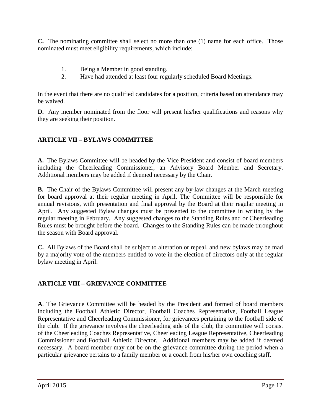**C.** The nominating committee shall select no more than one (1) name for each office. Those nominated must meet eligibility requirements, which include:

- 1. Being a Member in good standing.
- 2. Have had attended at least four regularly scheduled Board Meetings.

In the event that there are no qualified candidates for a position, criteria based on attendance may be waived.

**D.** Any member nominated from the floor will present his/her qualifications and reasons why they are seeking their position.

### **ARTICLE VII – BYLAWS COMMITTEE**

**A.** The Bylaws Committee will be headed by the Vice President and consist of board members including the Cheerleading Commissioner, an Advisory Board Member and Secretary. Additional members may be added if deemed necessary by the Chair.

**B.** The Chair of the Bylaws Committee will present any by-law changes at the March meeting for board approval at their regular meeting in April. The Committee will be responsible for annual revisions, with presentation and final approval by the Board at their regular meeting in April. Any suggested Bylaw changes must be presented to the committee in writing by the regular meeting in February. Any suggested changes to the Standing Rules and or Cheerleading Rules must be brought before the board. Changes to the Standing Rules can be made throughout the season with Board approval.

**C.** All Bylaws of the Board shall be subject to alteration or repeal, and new bylaws may be mad by a majority vote of the members entitled to vote in the election of directors only at the regular bylaw meeting in April.

### **ARTICLE VIII – GRIEVANCE COMMITTEE**

**A**. The Grievance Committee will be headed by the President and formed of board members including the Football Athletic Director, Football Coaches Representative, Football League Representative and Cheerleading Commissioner, for grievances pertaining to the football side of the club. If the grievance involves the cheerleading side of the club, the committee will consist of the Cheerleading Coaches Representative, Cheerleading League Representative, Cheerleading Commissioner and Football Athletic Director. Additional members may be added if deemed necessary. A board member may not be on the grievance committee during the period when a particular grievance pertains to a family member or a coach from his/her own coaching staff.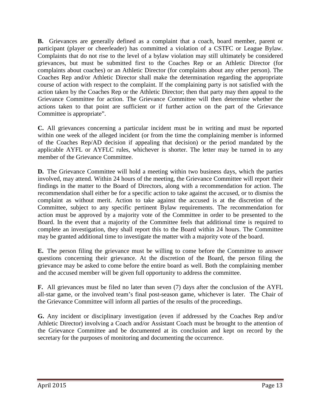**B.** Grievances are generally defined as a complaint that a coach, board member, parent or participant (player or cheerleader) has committed a violation of a CSTFC or League Bylaw. Complaints that do not rise to the level of a bylaw violation may still ultimately be considered grievances, but must be submitted first to the Coaches Rep or an Athletic Director (for complaints about coaches) or an Athletic Director (for complaints about any other person). The Coaches Rep and/or Athletic Director shall make the determination regarding the appropriate course of action with respect to the complaint. If the complaining party is not satisfied with the action taken by the Coaches Rep or the Athletic Director; then that party may then appeal to the Grievance Committee for action. The Grievance Committee will then determine whether the actions taken to that point are sufficient or if further action on the part of the Grievance Committee is appropriate".

**C.** All grievances concerning a particular incident must be in writing and must be reported within one week of the alleged incident (or from the time the complaining member is informed of the Coaches Rep/AD decision if appealing that decision) or the period mandated by the applicable AYFL or AYFLC rules, whichever is shorter. The letter may be turned in to any member of the Grievance Committee.

**D.** The Grievance Committee will hold a meeting within two business days, which the parties involved, may attend. Within 24 hours of the meeting, the Grievance Committee will report their findings in the matter to the Board of Directors, along with a recommendation for action. The recommendation shall either be for a specific action to take against the accused, or to dismiss the complaint as without merit. Action to take against the accused is at the discretion of the Committee, subject to any specific pertinent Bylaw requirements. The recommendation for action must be approved by a majority vote of the Committee in order to be presented to the Board. In the event that a majority of the Committee feels that additional time is required to complete an investigation, they shall report this to the Board within 24 hours. The Committee may be granted additional time to investigate the matter with a majority vote of the board.

**E.** The person filing the grievance must be willing to come before the Committee to answer questions concerning their grievance. At the discretion of the Board, the person filing the grievance may be asked to come before the entire board as well. Both the complaining member and the accused member will be given full opportunity to address the committee.

**F.** All grievances must be filed no later than seven (7) days after the conclusion of the AYFL all-star game, or the involved team's final post-season game, whichever is later. The Chair of the Grievance Committee will inform all parties of the results of the proceedings.

**G.** Any incident or disciplinary investigation (even if addressed by the Coaches Rep and/or Athletic Director) involving a Coach and/or Assistant Coach must be brought to the attention of the Grievance Committee and be documented at its conclusion and kept on record by the secretary for the purposes of monitoring and documenting the occurrence.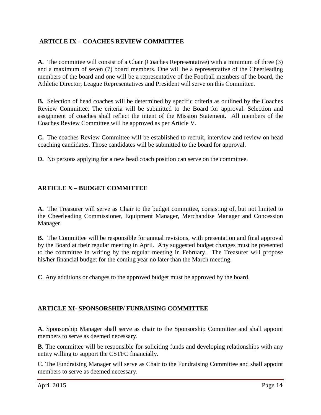### **ARTICLE IX – COACHES REVIEW COMMITTEE**

**A.** The committee will consist of a Chair (Coaches Representative) with a minimum of three (3) and a maximum of seven (7) board members. One will be a representative of the Cheerleading members of the board and one will be a representative of the Football members of the board, the Athletic Director, League Representatives and President will serve on this Committee.

**B.** Selection of head coaches will be determined by specific criteria as outlined by the Coaches Review Committee. The criteria will be submitted to the Board for approval. Selection and assignment of coaches shall reflect the intent of the Mission Statement. All members of the Coaches Review Committee will be approved as per Article V.

**C.** The coaches Review Committee will be established to recruit, interview and review on head coaching candidates. Those candidates will be submitted to the board for approval.

**D.** No persons applying for a new head coach position can serve on the committee.

### **ARTICLE X – BUDGET COMMITTEE**

**A.** The Treasurer will serve as Chair to the budget committee, consisting of, but not limited to the Cheerleading Commissioner, Equipment Manager, Merchandise Manager and Concession Manager.

**B.** The Committee will be responsible for annual revisions, with presentation and final approval by the Board at their regular meeting in April. Any suggested budget changes must be presented to the committee in writing by the regular meeting in February. The Treasurer will propose his/her financial budget for the coming year no later than the March meeting.

**C**. Any additions or changes to the approved budget must be approved by the board.

### **ARTICLE XI- SPONSORSHIP/ FUNRAISING COMMITTEE**

**A.** Sponsorship Manager shall serve as chair to the Sponsorship Committee and shall appoint members to serve as deemed necessary.

**B.** The committee will be responsible for soliciting funds and developing relationships with any entity willing to support the CSTFC financially.

C. The Fundraising Manager will serve as Chair to the Fundraising Committee and shall appoint members to serve as deemed necessary.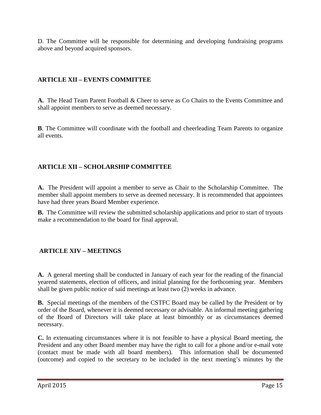D. The Committee will be responsible for determining and developing fundraising programs above and beyond acquired sponsors.

### **ARTICLE XII – EVENTS COMMITTEE**

**A.** The Head Team Parent Football & Cheer to serve as Co Chairs to the Events Committee and shall appoint members to serve as deemed necessary.

**B**. The Committee will coordinate with the football and cheerleading Team Parents to organize all events.

## **ARTICLE XII – SCHOLARSHIP COMMITTEE**

**A.** The President will appoint a member to serve as Chair to the Scholarship Committee. The member shall appoint members to serve as deemed necessary. It is recommended that appointees have had three years Board Member experience.

**B.** The Committee will review the submitted scholarship applications and prior to start of tryouts make a recommendation to the board for final approval.

## **ARTICLE XIV – MEETINGS**

**A.** A general meeting shall be conducted in January of each year for the reading of the financial yearend statements, election of officers, and initial planning for the forthcoming year. Members shall be given public notice of said meetings at least two (2) weeks in advance.

**B.** Special meetings of the members of the CSTFC Board may be called by the President or by order of the Board, whenever it is deemed necessary or advisable. An informal meeting gathering of the Board of Directors will take place at least bimonthly or as circumstances deemed necessary.

**C.** In extenuating circumstances where it is not feasible to have a physical Board meeting, the President and any other Board member may have the right to call for a phone and/or e-mail vote (contact must be made with all board members). This information shall be documented (outcome) and copied to the secretary to be included in the next meeting's minutes by the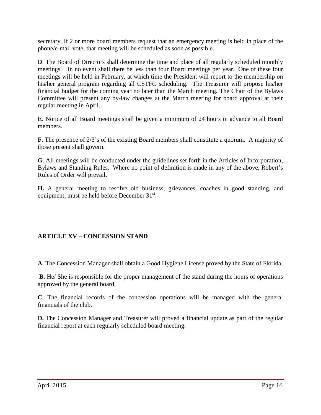secretary. If 2 or more board members request that an emergency meeting is held in place of the phone/e-mail vote, that meeting will be scheduled as soon as possible.

**D**. The Board of Directors shall determine the time and place of all regularly scheduled monthly meetings. In no event shall there be less than four Board meetings per year. One of these four meetings will be held in February, at which time the President will report to the membership on his/her general program regarding all CSTFC scheduling. The Treasurer will propose his/her financial budget for the coming year no later than the March meeting. The Chair of the Bylaws Committee will present any by-law changes at the March meeting for board approval at their regular meeting in April.

**E**. Notice of all Board meetings shall be given a minimum of 24 hours in advance to all Board members.

**F**. The presence of 2/3's of the existing Board members shall constitute a quorum. A majority of those present shall govern.

**G**. All meetings will be conducted under the guidelines set forth in the Articles of Incorporation, Bylaws and Standing Rules. Where no point of definition is made in any of the above, Robert's Rules of Order will prevail.

**H.** A general meeting to resolve old business, grievances, coaches in good standing, and equipment, must be held before December 31<sup>st</sup>.

### **ARTICLE XV – CONCESSION STAND**

**A**. The Concession Manager shall obtain a Good Hygiene License proved by the State of Florida.

**B.** He/ She is responsible for the proper management of the stand during the hours of operations approved by the general board.

**C**. The financial records of the concession operations will be managed with the general financials of the club.

**D.** The Concession Manager and Treasurer will proved a financial update as part of the regular financial report at each regularly scheduled board meeting.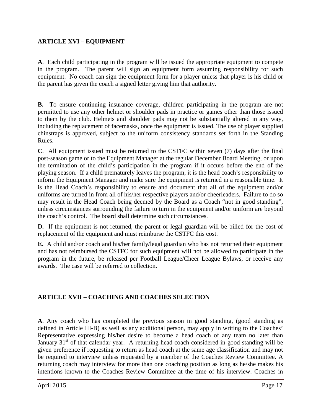#### **ARTICLE XVI – EQUIPMENT**

**A**. Each child participating in the program will be issued the appropriate equipment to compete in the program. The parent will sign an equipment form assuming responsibility for such equipment. No coach can sign the equipment form for a player unless that player is his child or the parent has given the coach a signed letter giving him that authority.

**B.** To ensure continuing insurance coverage, children participating in the program are not permitted to use any other helmet or shoulder pads in practice or games other than those issued to them by the club. Helmets and shoulder pads may not be substantially altered in any way, including the replacement of facemasks, once the equipment is issued. The use of player supplied chinstraps is approved, subject to the uniform consistency standards set forth in the Standing Rules.

**C**. All equipment issued must be returned to the CSTFC within seven (7) days after the final post-season game or to the Equipment Manager at the regular December Board Meeting, or upon the termination of the child's participation in the program if it occurs before the end of the playing season. If a child prematurely leaves the program, it is the head coach's responsibility to inform the Equipment Manager and make sure the equipment is returned in a reasonable time. It is the Head Coach's responsibility to ensure and document that all of the equipment and/or uniforms are turned in from all of his/her respective players and/or cheerleaders. Failure to do so may result in the Head Coach being deemed by the Board as a Coach "not in good standing", unless circumstances surrounding the failure to turn in the equipment and/or uniform are beyond the coach's control. The board shall determine such circumstances.

**D.** If the equipment is not returned, the parent or legal guardian will be billed for the cost of replacement of the equipment and must reimburse the CSTFC this cost.

**E.** A child and/or coach and his/her family/legal guardian who has not returned their equipment and has not reimbursed the CSTFC for such equipment will not be allowed to participate in the program in the future, be released per Football League/Cheer League Bylaws, or receive any awards. The case will be referred to collection.

### **ARTICLE XVII – COACHING AND COACHES SELECTION**

**A**. Any coach who has completed the previous season in good standing, (good standing as defined in Article III-B) as well as any additional person, may apply in writing to the Coaches' Representative expressing his/her desire to become a head coach of any team no later than January  $31<sup>st</sup>$  of that calendar year. A returning head coach considered in good standing will be given preference if requesting to return as head coach at the same age classification and may not be required to interview unless requested by a member of the Coaches Review Committee. A returning coach may interview for more than one coaching position as long as he/she makes his intentions known to the Coaches Review Committee at the time of his interview. Coaches in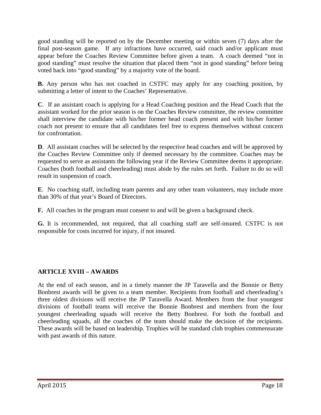good standing will be reported on by the December meeting or within seven (7) days after the final post-season game. If any infractions have occurred, said coach and/or applicant must appear before the Coaches Review Committee before given a team. A coach deemed "not in good standing" must resolve the situation that placed them "not in good standing" before being voted back into "good standing" by a majority vote of the board.

**B.** Any person who has not coached in CSTFC may apply for any coaching position, by submitting a letter of intent to the Coaches' Representative.

**C**. If an assistant coach is applying for a Head Coaching position and the Head Coach that the assistant worked for the prior season is on the Coaches Review committee, the review committee shall interview the candidate with his/her former head coach present and with his/her former coach not present to ensure that all candidates feel free to express themselves without concern for confrontation.

**D**. All assistant coaches will be selected by the respective head coaches and will be approved by the Coaches Review Committee only if deemed necessary by the committee. Coaches may be requested to serve as assistants the following year if the Review Committee deems it appropriate. Coaches (both football and cheerleading) must abide by the rules set forth. Failure to do so will result in suspension of coach.

**E**. No coaching staff, including team parents and any other team volunteers, may include more than 30% of that year's Board of Directors.

**F.** All coaches in the program must consent to and will be given a background check.

**G.** It is recommended, not required, that all coaching staff are self-insured. CSTFC is not responsible for costs incurred for injury, if not insured.

### **ARTICLE XVIII – AWARDS**

At the end of each season, and in a timely manner the JP Taravella and the Bonnie or Betty Bonbrest awards will be given to a team member. Recipients from football and cheerleading's three oldest divisions will receive the JP Taravella Award. Members from the four youngest divisions of football teams will receive the Bonnie Bonbrest and members from the four youngest cheerleading squads will receive the Betty Bonbrest. For both the football and cheerleading squads, all the coaches of the team should make the decision of the recipients. These awards will be based on leadership. Trophies will be standard club trophies commensurate with past awards of this nature.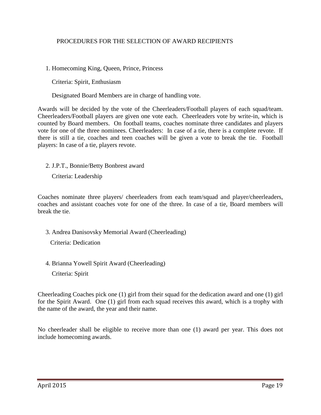#### PROCEDURES FOR THE SELECTION OF AWARD RECIPIENTS

1. Homecoming King, Queen, Prince, Princess

Criteria: Spirit, Enthusiasm

Designated Board Members are in charge of handling vote.

Awards will be decided by the vote of the Cheerleaders/Football players of each squad/team. Cheerleaders/Football players are given one vote each. Cheerleaders vote by write-in, which is counted by Board members. On football teams, coaches nominate three candidates and players vote for one of the three nominees. Cheerleaders: In case of a tie, there is a complete revote. If there is still a tie, coaches and teen coaches will be given a vote to break the tie. Football players: In case of a tie, players revote.

2. J.P.T., Bonnie/Betty Bonbrest award

Criteria: Leadership

Coaches nominate three players/ cheerleaders from each team/squad and player/cheerleaders, coaches and assistant coaches vote for one of the three. In case of a tie, Board members will break the tie.

3. Andrea Danisovsky Memorial Award (Cheerleading)

Criteria: Dedication

4. Brianna Yowell Spirit Award (Cheerleading)

Criteria: Spirit

Cheerleading Coaches pick one (1) girl from their squad for the dedication award and one (1) girl for the Spirit Award. One (1) girl from each squad receives this award, which is a trophy with the name of the award, the year and their name.

No cheerleader shall be eligible to receive more than one (1) award per year. This does not include homecoming awards.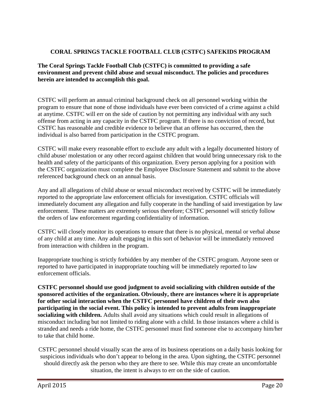#### **CORAL SPRINGS TACKLE FOOTBALL CLUB (CSTFC) SAFEKIDS PROGRAM**

**The Coral Springs Tackle Football Club (CSTFC) is committed to providing a safe environment and prevent child abuse and sexual misconduct. The policies and procedures herein are intended to accomplish this goal.** 

CSTFC will perform an annual criminal background check on all personnel working within the program to ensure that none of those individuals have ever been convicted of a crime against a child at anytime. CSTFC will err on the side of caution by not permitting any individual with any such offense from acting in any capacity in the CSTFC program. If there is no conviction of record, but CSTFC has reasonable and credible evidence to believe that an offense has occurred, then the individual is also barred from participation in the CSTFC program.

CSTFC will make every reasonable effort to exclude any adult with a legally documented history of child abuse/ molestation or any other record against children that would bring unnecessary risk to the health and safety of the participants of this organization. Every person applying for a position with the CSTFC organization must complete the Employee Disclosure Statement and submit to the above referenced background check on an annual basis.

Any and all allegations of child abuse or sexual misconduct received by CSTFC will be immediately reported to the appropriate law enforcement officials for investigation. CSTFC officials will immediately document any allegation and fully cooperate in the handling of said investigation by law enforcement. These matters are extremely serious therefore; CSTFC personnel will strictly follow the orders of law enforcement regarding confidentiality of information.

CSTFC will closely monitor its operations to ensure that there is no physical, mental or verbal abuse of any child at any time. Any adult engaging in this sort of behavior will be immediately removed from interaction with children in the program.

Inappropriate touching is strictly forbidden by any member of the CSTFC program. Anyone seen or reported to have participated in inappropriate touching will be immediately reported to law enforcement officials.

**CSTFC personnel should use good judgment to avoid socializing with children outside of the sponsored activities of the organization. Obviously, there are instances where it is appropriate for other social interaction when the CSTFC personnel have children of their own also participating in the social event. This policy is intended to prevent adults from inappropriate socializing with children.** Adults shall avoid any situations which could result in allegations of misconduct including but not limited to riding alone with a child. In those instances where a child is stranded and needs a ride home, the CSTFC personnel must find someone else to accompany him/her to take that child home.

CSTFC personnel should visually scan the area of its business operations on a daily basis looking for suspicious individuals who don't appear to belong in the area. Upon sighting, the CSTFC personnel should directly ask the person who they are there to see. While this may create an uncomfortable situation, the intent is always to err on the side of caution.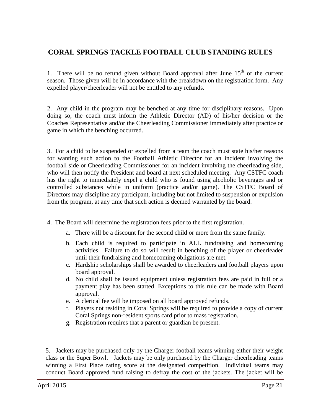## **CORAL SPRINGS TACKLE FOOTBALL CLUB STANDING RULES**

1. There will be no refund given without Board approval after June  $15<sup>th</sup>$  of the current season. Those given will be in accordance with the breakdown on the registration form. Any expelled player/cheerleader will not be entitled to any refunds.

2. Any child in the program may be benched at any time for disciplinary reasons. Upon doing so, the coach must inform the Athletic Director (AD) of his/her decision or the Coaches Representative and/or the Cheerleading Commissioner immediately after practice or game in which the benching occurred.

3. For a child to be suspended or expelled from a team the coach must state his/her reasons for wanting such action to the Football Athletic Director for an incident involving the football side or Cheerleading Commissioner for an incident involving the cheerleading side, who will then notify the President and board at next scheduled meeting. Any CSTFC coach has the right to immediately expel a child who is found using alcoholic beverages and or controlled substances while in uniform (practice and/or game). The CSTFC Board of Directors may discipline any participant, including but not limited to suspension or expulsion from the program, at any time that such action is deemed warranted by the board.

- 4. The Board will determine the registration fees prior to the first registration.
	- a. There will be a discount for the second child or more from the same family.
	- b. Each child is required to participate in ALL fundraising and homecoming activities. Failure to do so will result in benching of the player or cheerleader until their fundraising and homecoming obligations are met.
	- c. Hardship scholarships shall be awarded to cheerleaders and football players upon board approval.
	- d. No child shall be issued equipment unless registration fees are paid in full or a payment play has been started. Exceptions to this rule can be made with Board approval.
	- e. A clerical fee will be imposed on all board approved refunds.
	- f. Players not residing in Coral Springs will be required to provide a copy of current Coral Springs non-resident sports card prior to mass registration.
	- g. Registration requires that a parent or guardian be present.

5. Jackets may be purchased only by the Charger football teams winning either their weight class or the Super Bowl. Jackets may be only purchased by the Charger cheerleading teams winning a First Place rating score at the designated competition. Individual teams may conduct Board approved fund raising to defray the cost of the jackets. The jacket will be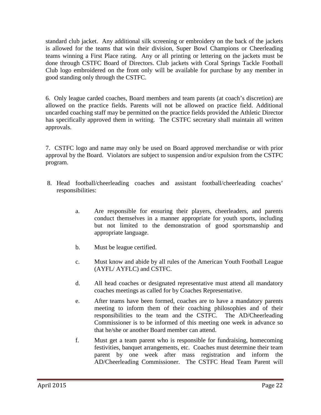standard club jacket. Any additional silk screening or embroidery on the back of the jackets is allowed for the teams that win their division, Super Bowl Champions or Cheerleading teams winning a First Place rating. Any or all printing or lettering on the jackets must be done through CSTFC Board of Directors. Club jackets with Coral Springs Tackle Football Club logo embroidered on the front only will be available for purchase by any member in good standing only through the CSTFC.

6. Only league carded coaches, Board members and team parents (at coach's discretion) are allowed on the practice fields. Parents will not be allowed on practice field. Additional uncarded coaching staff may be permitted on the practice fields provided the Athletic Director has specifically approved them in writing. The CSTFC secretary shall maintain all written approvals.

7. CSTFC logo and name may only be used on Board approved merchandise or with prior approval by the Board. Violators are subject to suspension and/or expulsion from the CSTFC program.

- 8. Head football/cheerleading coaches and assistant football/cheerleading coaches' responsibilities:
	- a. Are responsible for ensuring their players, cheerleaders, and parents conduct themselves in a manner appropriate for youth sports, including but not limited to the demonstration of good sportsmanship and appropriate language.
	- b. Must be league certified.
	- c. Must know and abide by all rules of the American Youth Football League (AYFL/ AYFLC) and CSTFC.
	- d. All head coaches or designated representative must attend all mandatory coaches meetings as called for by Coaches Representative.
	- e. After teams have been formed, coaches are to have a mandatory parents meeting to inform them of their coaching philosophies and of their responsibilities to the team and the CSTFC. The AD/Cheerleading Commissioner is to be informed of this meeting one week in advance so that he/she or another Board member can attend.
	- f. Must get a team parent who is responsible for fundraising, homecoming festivities, banquet arrangements, etc. Coaches must determine their team parent by one week after mass registration and inform the AD/Cheerleading Commissioner. The CSTFC Head Team Parent will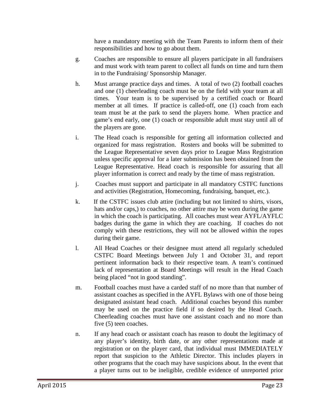have a mandatory meeting with the Team Parents to inform them of their responsibilities and how to go about them.

- g. Coaches are responsible to ensure all players participate in all fundraisers and must work with team parent to collect all funds on time and turn them in to the Fundraising/ Sponsorship Manager.
- h. Must arrange practice days and times. A total of two (2) football coaches and one (1) cheerleading coach must be on the field with your team at all times. Your team is to be supervised by a certified coach or Board member at all times. If practice is called-off, one (1) coach from each team must be at the park to send the players home. When practice and game's end early, one (1) coach or responsible adult must stay until all of the players are gone.
- i. The Head coach is responsible for getting all information collected and organized for mass registration. Rosters and books will be submitted to the League Representative seven days prior to League Mass Registration unless specific approval for a later submission has been obtained from the League Representative. Head coach is responsible for assuring that all player information is correct and ready by the time of mass registration.
- j. Coaches must support and participate in all mandatory CSTFC functions and activities (Registration, Homecoming, fundraising, banquet, etc.).
- k. If the CSTFC issues club attire (including but not limited to shirts, visors, hats and/or caps,) to coaches, no other attire may be worn during the game in which the coach is participating. All coaches must wear AYFL/AYFLC badges during the game in which they are coaching. If coaches do not comply with these restrictions, they will not be allowed within the ropes during their game.
- l. All Head Coaches or their designee must attend all regularly scheduled CSTFC Board Meetings between July 1 and October 31, and report pertinent information back to their respective team. A team's continued lack of representation at Board Meetings will result in the Head Coach being placed "not in good standing".
- m. Football coaches must have a carded staff of no more than that number of assistant coaches as specified in the AYFL Bylaws with one of those being designated assistant head coach. Additional coaches beyond this number may be used on the practice field if so desired by the Head Coach. Cheerleading coaches must have one assistant coach and no more than five (5) teen coaches.
- n. If any head coach or assistant coach has reason to doubt the legitimacy of any player's identity, birth date, or any other representations made at registration or on the player card, that individual must IMMEDIATELY report that suspicion to the Athletic Director. This includes players in other programs that the coach may have suspicions about. In the event that a player turns out to be ineligible, credible evidence of unreported prior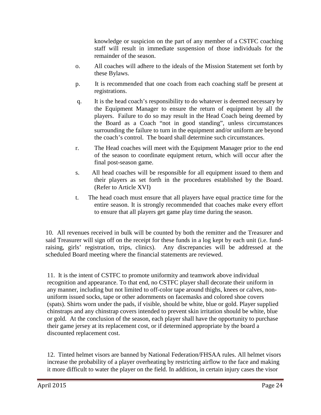knowledge or suspicion on the part of any member of a CSTFC coaching staff will result in immediate suspension of those individuals for the remainder of the season.

- o. All coaches will adhere to the ideals of the Mission Statement set forth by these Bylaws.
- p. It is recommended that one coach from each coaching staff be present at registrations.
- q. It is the head coach's responsibility to do whatever is deemed necessary by the Equipment Manager to ensure the return of equipment by all the players. Failure to do so may result in the Head Coach being deemed by the Board as a Coach "not in good standing", unless circumstances surrounding the failure to turn in the equipment and/or uniform are beyond the coach's control. The board shall determine such circumstances.
- r. The Head coaches will meet with the Equipment Manager prior to the end of the season to coordinate equipment return, which will occur after the final post-season game.
- s. All head coaches will be responsible for all equipment issued to them and their players as set forth in the procedures established by the Board. (Refer to Article XVI)
- t. The head coach must ensure that all players have equal practice time for the entire season. It is strongly recommended that coaches make every effort to ensure that all players get game play time during the season.

10. All revenues received in bulk will be counted by both the remitter and the Treasurer and said Treasurer will sign off on the receipt for these funds in a log kept by each unit (i.e. fundraising, girls' registration, trips, clinics). Any discrepancies will be addressed at the scheduled Board meeting where the financial statements are reviewed.

11. It is the intent of CSTFC to promote uniformity and teamwork above individual recognition and appearance. To that end, no CSTFC player shall decorate their uniform in any manner, including but not limited to off-color tape around thighs, knees or calves, nonuniform issued socks, tape or other adornments on facemasks and colored shoe covers (spats). Shirts worn under the pads, if visible, should be white, blue or gold. Player supplied chinstraps and any chinstrap covers intended to prevent skin irritation should be white, blue or gold. At the conclusion of the season, each player shall have the opportunity to purchase their game jersey at its replacement cost, or if determined appropriate by the board a discounted replacement cost.

12. Tinted helmet visors are banned by National Federation/FHSAA rules. All helmet visors increase the probability of a player overheating by restricting airflow to the face and making it more difficult to water the player on the field. In addition, in certain injury cases the visor